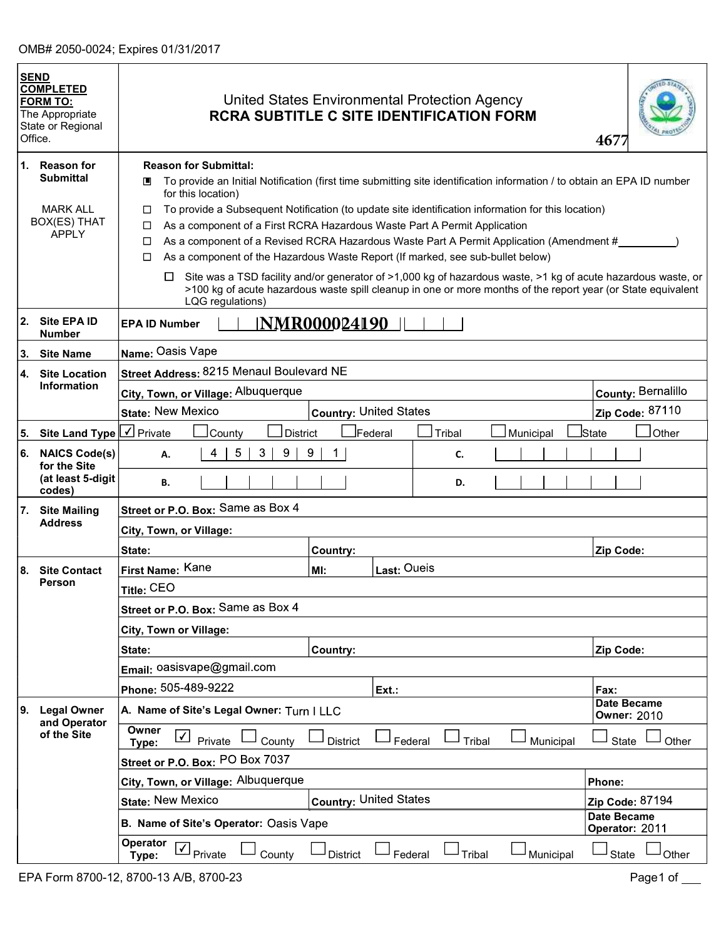|    | <b>SEND</b><br><b>COMPLETED</b><br><b>FORM TO:</b><br>The Appropriate<br>State or Regional<br>Office. | United States Environmental Protection Agency<br><b>RCRA SUBTITLE C SITE IDENTIFICATION FORM</b>                                                                                                                                                                                                                                                                                                                                                                                                                                                                                                                                                                                                              |                               |             |               |           | 4677                                                                                                         |
|----|-------------------------------------------------------------------------------------------------------|---------------------------------------------------------------------------------------------------------------------------------------------------------------------------------------------------------------------------------------------------------------------------------------------------------------------------------------------------------------------------------------------------------------------------------------------------------------------------------------------------------------------------------------------------------------------------------------------------------------------------------------------------------------------------------------------------------------|-------------------------------|-------------|---------------|-----------|--------------------------------------------------------------------------------------------------------------|
|    | 1. Reason for<br><b>Submittal</b><br><b>MARK ALL</b><br>BOX(ES) THAT<br><b>APPLY</b>                  | <b>Reason for Submittal:</b><br>To provide an Initial Notification (first time submitting site identification information / to obtain an EPA ID number<br>▣<br>for this location)<br>To provide a Subsequent Notification (to update site identification information for this location)<br>□<br>As a component of a First RCRA Hazardous Waste Part A Permit Application<br>□<br>As a component of a Revised RCRA Hazardous Waste Part A Permit Application (Amendment #<br>□<br>As a component of the Hazardous Waste Report (If marked, see sub-bullet below)<br>□<br>□<br>>100 kg of acute hazardous waste spill cleanup in one or more months of the report year (or State equivalent<br>LQG regulations) |                               |             |               |           | Site was a TSD facility and/or generator of >1,000 kg of hazardous waste, >1 kg of acute hazardous waste, or |
|    | 2. Site EPA ID<br><b>Number</b>                                                                       | <b>EPA ID Number</b>                                                                                                                                                                                                                                                                                                                                                                                                                                                                                                                                                                                                                                                                                          | <u>NMR000024190_</u>          |             |               |           |                                                                                                              |
| 3. | <b>Site Name</b>                                                                                      | Name: Oasis Vape                                                                                                                                                                                                                                                                                                                                                                                                                                                                                                                                                                                                                                                                                              |                               |             |               |           |                                                                                                              |
| 4. | <b>Site Location</b>                                                                                  | Street Address: 8215 Menaul Boulevard NE                                                                                                                                                                                                                                                                                                                                                                                                                                                                                                                                                                                                                                                                      |                               |             |               |           |                                                                                                              |
|    | <b>Information</b>                                                                                    | City, Town, or Village: Albuquerque                                                                                                                                                                                                                                                                                                                                                                                                                                                                                                                                                                                                                                                                           |                               |             |               |           | County: Bernalillo                                                                                           |
|    |                                                                                                       | <b>State: New Mexico</b>                                                                                                                                                                                                                                                                                                                                                                                                                                                                                                                                                                                                                                                                                      | <b>Country: United States</b> |             |               |           | Zip Code: 87110                                                                                              |
| 5. | Site Land Type $\lfloor \sqrt{\ } \rfloor$ Private                                                    | County<br><b>District</b>                                                                                                                                                                                                                                                                                                                                                                                                                                                                                                                                                                                                                                                                                     |                               | İFederal    | <b>Tribal</b> | Municipal | İState<br>Other                                                                                              |
| 6. | <b>NAICS Code(s)</b><br>for the Site                                                                  | 5<br>3<br>9<br>4<br>А.                                                                                                                                                                                                                                                                                                                                                                                                                                                                                                                                                                                                                                                                                        | 9                             |             | C.            |           |                                                                                                              |
|    | (at least 5-digit<br>codes)                                                                           | В.                                                                                                                                                                                                                                                                                                                                                                                                                                                                                                                                                                                                                                                                                                            |                               |             | D.            |           |                                                                                                              |
| 7. | <b>Site Mailing</b>                                                                                   | Street or P.O. Box: Same as Box 4                                                                                                                                                                                                                                                                                                                                                                                                                                                                                                                                                                                                                                                                             |                               |             |               |           |                                                                                                              |
|    | <b>Address</b>                                                                                        | City, Town, or Village:                                                                                                                                                                                                                                                                                                                                                                                                                                                                                                                                                                                                                                                                                       |                               |             |               |           |                                                                                                              |
|    |                                                                                                       | State:                                                                                                                                                                                                                                                                                                                                                                                                                                                                                                                                                                                                                                                                                                        | Country:                      |             |               |           | Zip Code:                                                                                                    |
|    | 8. Site Contact                                                                                       | First Name: Kane                                                                                                                                                                                                                                                                                                                                                                                                                                                                                                                                                                                                                                                                                              | MI:                           | Last: Oueis |               |           |                                                                                                              |
|    | <b>Person</b>                                                                                         | Title: CEO                                                                                                                                                                                                                                                                                                                                                                                                                                                                                                                                                                                                                                                                                                    |                               |             |               |           |                                                                                                              |
|    |                                                                                                       | Street or P.O. Box: Same as Box 4                                                                                                                                                                                                                                                                                                                                                                                                                                                                                                                                                                                                                                                                             |                               |             |               |           |                                                                                                              |
|    |                                                                                                       | City, Town or Village:                                                                                                                                                                                                                                                                                                                                                                                                                                                                                                                                                                                                                                                                                        |                               |             |               |           |                                                                                                              |
|    |                                                                                                       | State:                                                                                                                                                                                                                                                                                                                                                                                                                                                                                                                                                                                                                                                                                                        | <b>Country:</b>               |             |               |           | Zip Code:                                                                                                    |
|    |                                                                                                       | Email: 0asisvape@gmail.com                                                                                                                                                                                                                                                                                                                                                                                                                                                                                                                                                                                                                                                                                    |                               |             |               |           |                                                                                                              |
|    |                                                                                                       | Phone: 505-489-9222                                                                                                                                                                                                                                                                                                                                                                                                                                                                                                                                                                                                                                                                                           |                               | Ext.:       |               |           | Fax:                                                                                                         |
| 9. | <b>Legal Owner</b><br>and Operator                                                                    | A. Name of Site's Legal Owner: Turn I LLC                                                                                                                                                                                                                                                                                                                                                                                                                                                                                                                                                                                                                                                                     |                               |             |               |           | <b>Date Became</b><br><b>Owner: 2010</b>                                                                     |
|    | of the Site                                                                                           | Owner<br>⊻<br>Private<br>County<br>Type:                                                                                                                                                                                                                                                                                                                                                                                                                                                                                                                                                                                                                                                                      | <b>District</b>               | Federal     | Tribal        | Municipal | State<br>Other                                                                                               |
|    |                                                                                                       | Street or P.O. Box: PO Box 7037                                                                                                                                                                                                                                                                                                                                                                                                                                                                                                                                                                                                                                                                               |                               |             |               |           |                                                                                                              |
|    |                                                                                                       | City, Town, or Village: Albuquerque                                                                                                                                                                                                                                                                                                                                                                                                                                                                                                                                                                                                                                                                           |                               |             |               |           | Phone:                                                                                                       |
|    |                                                                                                       | <b>State: New Mexico</b>                                                                                                                                                                                                                                                                                                                                                                                                                                                                                                                                                                                                                                                                                      | <b>Country: United States</b> |             |               |           | Zip Code: 87194                                                                                              |
|    |                                                                                                       | B. Name of Site's Operator: Oasis Vape                                                                                                                                                                                                                                                                                                                                                                                                                                                                                                                                                                                                                                                                        |                               |             |               |           | <b>Date Became</b><br>Operator: 2011                                                                         |
|    |                                                                                                       | <b>Operator</b><br>$\sqrt{}$<br><sup>l</sup> Private<br>County<br>Type:                                                                                                                                                                                                                                                                                                                                                                                                                                                                                                                                                                                                                                       | <b>District</b>               | Federal     | Tribal        | Municipal | Other<br>State                                                                                               |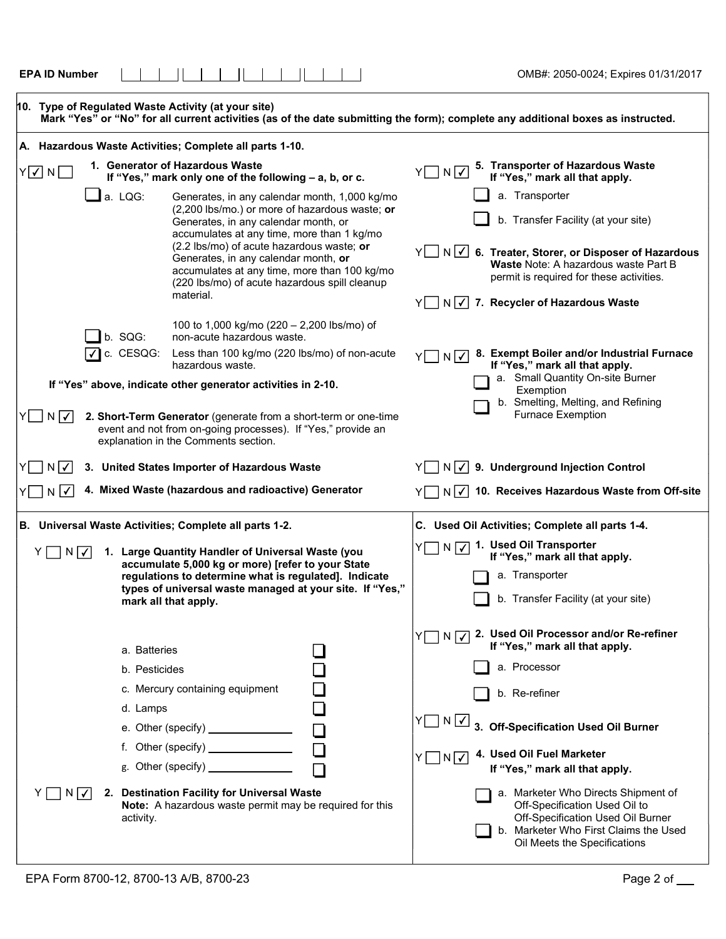| <b>EPA ID Number</b>                                    |                                                                                                                                                                                                                                                                                                                                                                                          | OMB#: 2050-0024; Expires 01/31/2017                                                                                                                                                                                                                                                      |
|---------------------------------------------------------|------------------------------------------------------------------------------------------------------------------------------------------------------------------------------------------------------------------------------------------------------------------------------------------------------------------------------------------------------------------------------------------|------------------------------------------------------------------------------------------------------------------------------------------------------------------------------------------------------------------------------------------------------------------------------------------|
| 10. Type of Regulated Waste Activity (at your site)     |                                                                                                                                                                                                                                                                                                                                                                                          | Mark "Yes" or "No" for all current activities (as of the date submitting the form); complete any additional boxes as instructed.                                                                                                                                                         |
| A. Hazardous Waste Activities; Complete all parts 1-10. |                                                                                                                                                                                                                                                                                                                                                                                          |                                                                                                                                                                                                                                                                                          |
| $Y$ $\sqrt{ }$ $N$ $\Box$                               | 1. Generator of Hazardous Waste<br>If "Yes," mark only one of the following - a, b, or c.                                                                                                                                                                                                                                                                                                | 5. Transporter of Hazardous Waste<br>If "Yes," mark all that apply.<br>$Y \Box N \Box$                                                                                                                                                                                                   |
| $\Box$ a. LQG:                                          | Generates, in any calendar month, 1,000 kg/mo<br>(2,200 lbs/mo.) or more of hazardous waste; or<br>Generates, in any calendar month, or<br>accumulates at any time, more than 1 kg/mo<br>(2.2 lbs/mo) of acute hazardous waste; or<br>Generates, in any calendar month, or<br>accumulates at any time, more than 100 kg/mo<br>(220 lbs/mo) of acute hazardous spill cleanup<br>material. | a. Transporter<br>b. Transfer Facility (at your site)<br>Y N V 6. Treater, Storer, or Disposer of Hazardous<br>Waste Note: A hazardous waste Part B<br>permit is required for these activities.<br>$Y \cap N$ / 7. Recycler of Hazardous Waste                                           |
| b. SQG:<br>c. CESQG:                                    | 100 to 1,000 kg/mo (220 - 2,200 lbs/mo) of<br>non-acute hazardous waste.<br>Less than 100 kg/mo (220 lbs/mo) of non-acute<br>hazardous waste.                                                                                                                                                                                                                                            | 8. Exempt Boiler and/or Industrial Furnace<br>YU NV<br>If "Yes," mark all that apply.                                                                                                                                                                                                    |
| $N$ $\checkmark$                                        | If "Yes" above, indicate other generator activities in 2-10.<br>2. Short-Term Generator (generate from a short-term or one-time<br>event and not from on-going processes). If "Yes," provide an<br>explanation in the Comments section.                                                                                                                                                  | a. Small Quantity On-site Burner<br>Exemption<br>b. Smelting, Melting, and Refining<br><b>Furnace Exemption</b>                                                                                                                                                                          |
| $N \checkmark $                                         | 3. United States Importer of Hazardous Waste                                                                                                                                                                                                                                                                                                                                             | $N\sqrt{2}$ 9. Underground Injection Control                                                                                                                                                                                                                                             |
| $\checkmark$<br>N                                       | 4. Mixed Waste (hazardous and radioactive) Generator                                                                                                                                                                                                                                                                                                                                     | $N\sqrt{2}$ 10. Receives Hazardous Waste from Off-site                                                                                                                                                                                                                                   |
| B. Universal Waste Activities; Complete all parts 1-2.  |                                                                                                                                                                                                                                                                                                                                                                                          | C. Used Oil Activities; Complete all parts 1-4.                                                                                                                                                                                                                                          |
| $N \mid \checkmark$                                     | 1. Large Quantity Handler of Universal Waste (you<br>accumulate 5,000 kg or more) [refer to your State<br>regulations to determine what is regulated]. Indicate<br>types of universal waste managed at your site. If "Yes,"<br>mark all that apply.                                                                                                                                      | N V 1. Used Oil Transporter<br>If "Yes," mark all that apply.<br>a. Transporter<br>b. Transfer Facility (at your site)                                                                                                                                                                   |
| a. Batteries<br>b. Pesticides<br>d. Lamps               | c. Mercury containing equipment<br>e. Other (specify) $\frac{1}{2}$<br>g. Other (specify) $\frac{1}{2}$                                                                                                                                                                                                                                                                                  | 2. Used Oil Processor and/or Re-refiner<br>$Y \prod N$ $\boxed{V}$<br>If "Yes," mark all that apply.<br>a. Processor<br>b. Re-refiner<br>$Y \prod N$ $\boxed{\checkmark}$<br>3. Off-Specification Used Oil Burner<br>4. Used Oil Fuel Marketer<br>Y□N√<br>If "Yes," mark all that apply. |
| $N \checkmark $<br>activity.                            | 2. Destination Facility for Universal Waste<br><b>Note:</b> A hazardous waste permit may be required for this                                                                                                                                                                                                                                                                            | a. Marketer Who Directs Shipment of<br>Off-Specification Used Oil to<br>Off-Specification Used Oil Burner<br>b. Marketer Who First Claims the Used<br>Oil Meets the Specifications                                                                                                       |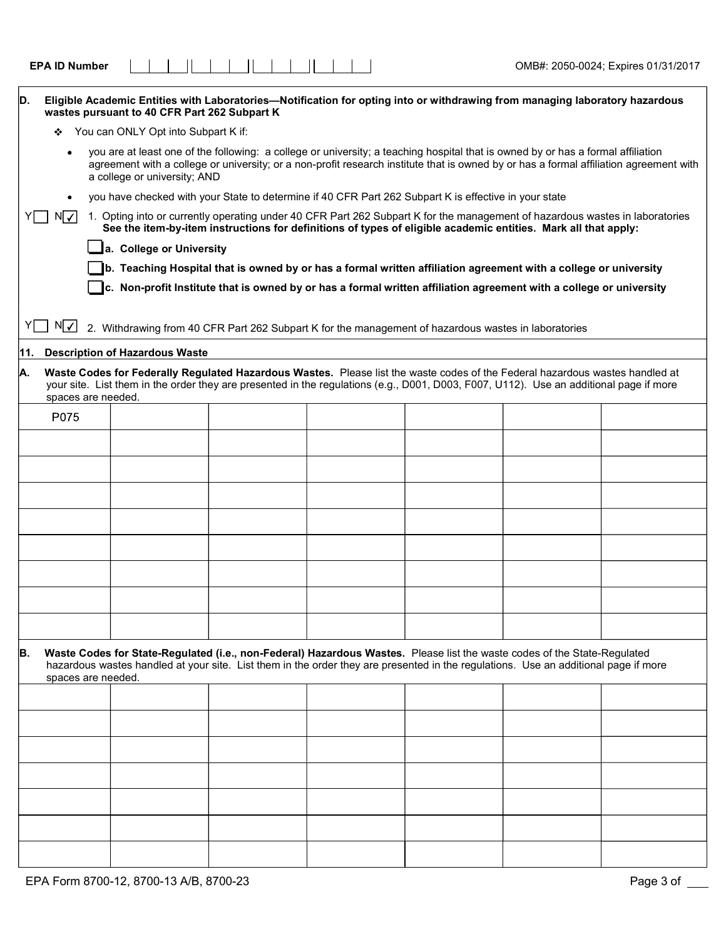| D.  |                                          | wastes pursuant to 40 CFR Part 262 Subpart K |  |  | Eligible Academic Entities with Laboratories-Notification for opting into or withdrawing from managing laboratory hazardous                                                                                                                                            |  |                                                                                                                                        |
|-----|------------------------------------------|----------------------------------------------|--|--|------------------------------------------------------------------------------------------------------------------------------------------------------------------------------------------------------------------------------------------------------------------------|--|----------------------------------------------------------------------------------------------------------------------------------------|
|     | You can ONLY Opt into Subpart K if:<br>❖ |                                              |  |  |                                                                                                                                                                                                                                                                        |  |                                                                                                                                        |
|     |                                          | a college or university; AND                 |  |  | you are at least one of the following: a college or university; a teaching hospital that is owned by or has a formal affiliation                                                                                                                                       |  | agreement with a college or university; or a non-profit research institute that is owned by or has a formal affiliation agreement with |
|     |                                          |                                              |  |  | you have checked with your State to determine if 40 CFR Part 262 Subpart K is effective in your state                                                                                                                                                                  |  |                                                                                                                                        |
|     | N∣√∣                                     |                                              |  |  | 1. Opting into or currently operating under 40 CFR Part 262 Subpart K for the management of hazardous wastes in laboratories                                                                                                                                           |  |                                                                                                                                        |
|     |                                          |                                              |  |  | See the item-by-item instructions for definitions of types of eligible academic entities. Mark all that apply:                                                                                                                                                         |  |                                                                                                                                        |
|     |                                          | a. College or University                     |  |  |                                                                                                                                                                                                                                                                        |  |                                                                                                                                        |
|     |                                          |                                              |  |  | b. Teaching Hospital that is owned by or has a formal written affiliation agreement with a college or university                                                                                                                                                       |  |                                                                                                                                        |
|     |                                          |                                              |  |  | c. Non-profit Institute that is owned by or has a formal written affiliation agreement with a college or university                                                                                                                                                    |  |                                                                                                                                        |
|     |                                          |                                              |  |  |                                                                                                                                                                                                                                                                        |  |                                                                                                                                        |
|     | $N \checkmark $                          |                                              |  |  | 2. Withdrawing from 40 CFR Part 262 Subpart K for the management of hazardous wastes in laboratories                                                                                                                                                                   |  |                                                                                                                                        |
| 11. |                                          | <b>Description of Hazardous Waste</b>        |  |  |                                                                                                                                                                                                                                                                        |  |                                                                                                                                        |
| Α.  | spaces are needed.                       |                                              |  |  | Waste Codes for Federally Regulated Hazardous Wastes. Please list the waste codes of the Federal hazardous wastes handled at<br>your site. List them in the order they are presented in the regulations (e.g., D001, D003, F007, U112). Use an additional page if more |  |                                                                                                                                        |
|     | P075                                     |                                              |  |  |                                                                                                                                                                                                                                                                        |  |                                                                                                                                        |
|     |                                          |                                              |  |  |                                                                                                                                                                                                                                                                        |  |                                                                                                                                        |
|     |                                          |                                              |  |  |                                                                                                                                                                                                                                                                        |  |                                                                                                                                        |
|     |                                          |                                              |  |  |                                                                                                                                                                                                                                                                        |  |                                                                                                                                        |
|     |                                          |                                              |  |  |                                                                                                                                                                                                                                                                        |  |                                                                                                                                        |
|     |                                          |                                              |  |  |                                                                                                                                                                                                                                                                        |  |                                                                                                                                        |
|     |                                          |                                              |  |  |                                                                                                                                                                                                                                                                        |  |                                                                                                                                        |
|     |                                          |                                              |  |  |                                                                                                                                                                                                                                                                        |  |                                                                                                                                        |
|     |                                          |                                              |  |  |                                                                                                                                                                                                                                                                        |  |                                                                                                                                        |
| B.  | spaces are needed.                       |                                              |  |  | Waste Codes for State-Regulated (i.e., non-Federal) Hazardous Wastes. Please list the waste codes of the State-Regulated<br>hazardous wastes handled at your site. List them in the order they are presented in the regulations. Use an additional page if more        |  |                                                                                                                                        |
|     |                                          |                                              |  |  |                                                                                                                                                                                                                                                                        |  |                                                                                                                                        |
|     |                                          |                                              |  |  |                                                                                                                                                                                                                                                                        |  |                                                                                                                                        |
|     |                                          |                                              |  |  |                                                                                                                                                                                                                                                                        |  |                                                                                                                                        |
|     |                                          |                                              |  |  |                                                                                                                                                                                                                                                                        |  |                                                                                                                                        |
|     |                                          |                                              |  |  |                                                                                                                                                                                                                                                                        |  |                                                                                                                                        |
|     |                                          |                                              |  |  |                                                                                                                                                                                                                                                                        |  |                                                                                                                                        |
|     |                                          |                                              |  |  |                                                                                                                                                                                                                                                                        |  |                                                                                                                                        |

 $\begin{tabular}{c|c|c|c|c|c|c|c} \hline \textbf{FPA ID Number} & & & & & & & & & \\ \hline \end{tabular}$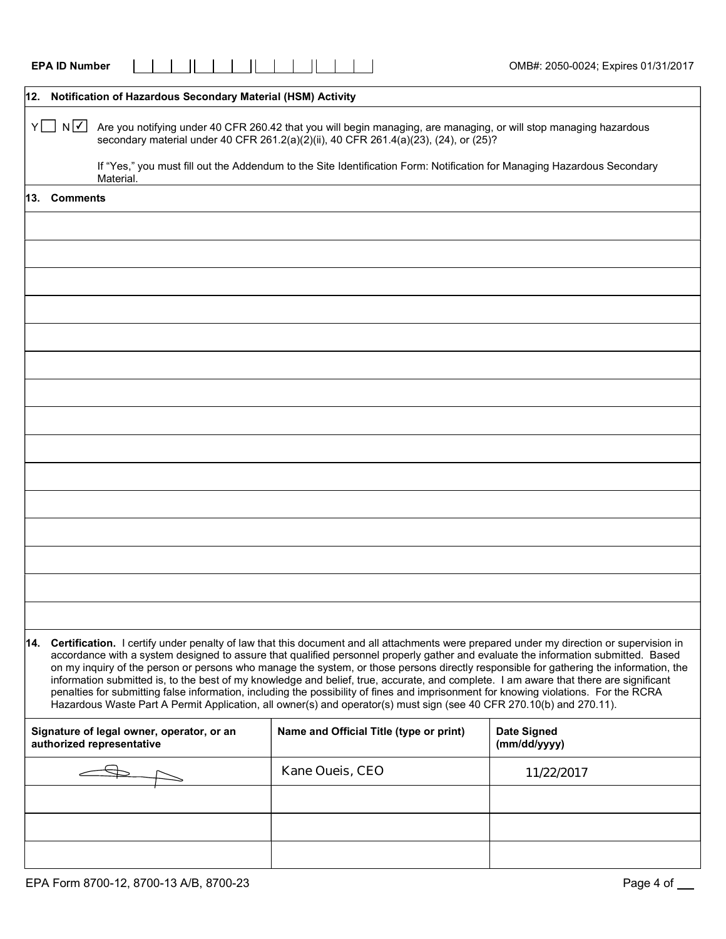|     | <b>EPA ID Number</b> |                                                                                                                                                                                                                                                                                                                                      |                                         | OMB#: 2050-0024; Expires 01/31/2017                                                                                                                                                                                                                                                                                                                                                                                                                                                                                                                                                                                                                                                                          |
|-----|----------------------|--------------------------------------------------------------------------------------------------------------------------------------------------------------------------------------------------------------------------------------------------------------------------------------------------------------------------------------|-----------------------------------------|--------------------------------------------------------------------------------------------------------------------------------------------------------------------------------------------------------------------------------------------------------------------------------------------------------------------------------------------------------------------------------------------------------------------------------------------------------------------------------------------------------------------------------------------------------------------------------------------------------------------------------------------------------------------------------------------------------------|
|     |                      | 12. Notification of Hazardous Secondary Material (HSM) Activity                                                                                                                                                                                                                                                                      |                                         |                                                                                                                                                                                                                                                                                                                                                                                                                                                                                                                                                                                                                                                                                                              |
|     | Y□ N⊡                | Are you notifying under 40 CFR 260.42 that you will begin managing, are managing, or will stop managing hazardous<br>secondary material under 40 CFR 261.2(a)(2)(ii), 40 CFR 261.4(a)(23), (24), or (25)?<br>If "Yes," you must fill out the Addendum to the Site Identification Form: Notification for Managing Hazardous Secondary |                                         |                                                                                                                                                                                                                                                                                                                                                                                                                                                                                                                                                                                                                                                                                                              |
| 13. | <b>Comments</b>      | Material.                                                                                                                                                                                                                                                                                                                            |                                         |                                                                                                                                                                                                                                                                                                                                                                                                                                                                                                                                                                                                                                                                                                              |
|     |                      |                                                                                                                                                                                                                                                                                                                                      |                                         |                                                                                                                                                                                                                                                                                                                                                                                                                                                                                                                                                                                                                                                                                                              |
|     |                      |                                                                                                                                                                                                                                                                                                                                      |                                         |                                                                                                                                                                                                                                                                                                                                                                                                                                                                                                                                                                                                                                                                                                              |
|     |                      |                                                                                                                                                                                                                                                                                                                                      |                                         |                                                                                                                                                                                                                                                                                                                                                                                                                                                                                                                                                                                                                                                                                                              |
|     |                      |                                                                                                                                                                                                                                                                                                                                      |                                         |                                                                                                                                                                                                                                                                                                                                                                                                                                                                                                                                                                                                                                                                                                              |
|     |                      |                                                                                                                                                                                                                                                                                                                                      |                                         |                                                                                                                                                                                                                                                                                                                                                                                                                                                                                                                                                                                                                                                                                                              |
|     |                      |                                                                                                                                                                                                                                                                                                                                      |                                         |                                                                                                                                                                                                                                                                                                                                                                                                                                                                                                                                                                                                                                                                                                              |
|     |                      |                                                                                                                                                                                                                                                                                                                                      |                                         |                                                                                                                                                                                                                                                                                                                                                                                                                                                                                                                                                                                                                                                                                                              |
|     |                      |                                                                                                                                                                                                                                                                                                                                      |                                         |                                                                                                                                                                                                                                                                                                                                                                                                                                                                                                                                                                                                                                                                                                              |
|     |                      |                                                                                                                                                                                                                                                                                                                                      |                                         |                                                                                                                                                                                                                                                                                                                                                                                                                                                                                                                                                                                                                                                                                                              |
|     |                      |                                                                                                                                                                                                                                                                                                                                      |                                         |                                                                                                                                                                                                                                                                                                                                                                                                                                                                                                                                                                                                                                                                                                              |
|     |                      |                                                                                                                                                                                                                                                                                                                                      |                                         |                                                                                                                                                                                                                                                                                                                                                                                                                                                                                                                                                                                                                                                                                                              |
|     |                      |                                                                                                                                                                                                                                                                                                                                      |                                         |                                                                                                                                                                                                                                                                                                                                                                                                                                                                                                                                                                                                                                                                                                              |
|     |                      |                                                                                                                                                                                                                                                                                                                                      |                                         |                                                                                                                                                                                                                                                                                                                                                                                                                                                                                                                                                                                                                                                                                                              |
|     |                      |                                                                                                                                                                                                                                                                                                                                      |                                         |                                                                                                                                                                                                                                                                                                                                                                                                                                                                                                                                                                                                                                                                                                              |
|     |                      |                                                                                                                                                                                                                                                                                                                                      |                                         |                                                                                                                                                                                                                                                                                                                                                                                                                                                                                                                                                                                                                                                                                                              |
|     |                      |                                                                                                                                                                                                                                                                                                                                      |                                         |                                                                                                                                                                                                                                                                                                                                                                                                                                                                                                                                                                                                                                                                                                              |
|     |                      | Hazardous Waste Part A Permit Application, all owner(s) and operator(s) must sign (see 40 CFR 270.10(b) and 270.11).                                                                                                                                                                                                                 |                                         | 14. Certification. I certify under penalty of law that this document and all attachments were prepared under my direction or supervision in<br>accordance with a system designed to assure that qualified personnel properly gather and evaluate the information submitted. Based<br>on my inquiry of the person or persons who manage the system, or those persons directly responsible for gathering the information, the<br>information submitted is, to the best of my knowledge and belief, true, accurate, and complete. I am aware that there are significant<br>penalties for submitting false information, including the possibility of fines and imprisonment for knowing violations. For the RCRA |
|     |                      | Signature of legal owner, operator, or an<br>authorized representative                                                                                                                                                                                                                                                               | Name and Official Title (type or print) | <b>Date Signed</b><br>(mm/dd/yyyy)                                                                                                                                                                                                                                                                                                                                                                                                                                                                                                                                                                                                                                                                           |
|     |                      |                                                                                                                                                                                                                                                                                                                                      | Kane Oueis, CEO                         | 11/22/2017                                                                                                                                                                                                                                                                                                                                                                                                                                                                                                                                                                                                                                                                                                   |
|     |                      |                                                                                                                                                                                                                                                                                                                                      |                                         |                                                                                                                                                                                                                                                                                                                                                                                                                                                                                                                                                                                                                                                                                                              |
|     |                      |                                                                                                                                                                                                                                                                                                                                      |                                         |                                                                                                                                                                                                                                                                                                                                                                                                                                                                                                                                                                                                                                                                                                              |
|     |                      |                                                                                                                                                                                                                                                                                                                                      |                                         |                                                                                                                                                                                                                                                                                                                                                                                                                                                                                                                                                                                                                                                                                                              |